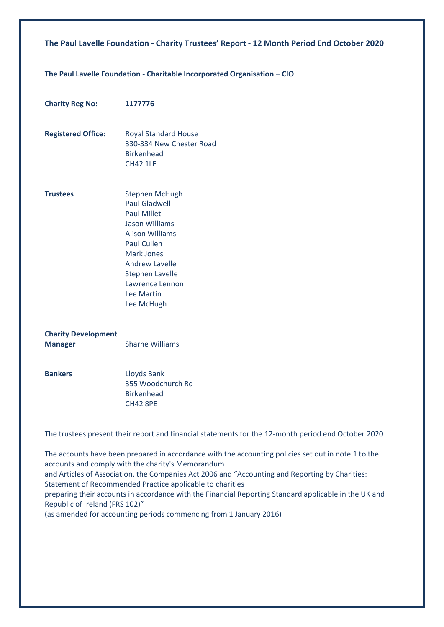### **The Paul Lavelle Foundation - Charitable Incorporated Organisation – CIO**

| <b>Charity Reg No:</b>                       | 1177776                                                                                                                                                                                                                                                             |
|----------------------------------------------|---------------------------------------------------------------------------------------------------------------------------------------------------------------------------------------------------------------------------------------------------------------------|
| <b>Registered Office:</b>                    | <b>Royal Standard House</b><br>330-334 New Chester Road<br><b>Birkenhead</b><br><b>CH42 1LE</b>                                                                                                                                                                     |
| <b>Trustees</b>                              | <b>Stephen McHugh</b><br><b>Paul Gladwell</b><br><b>Paul Millet</b><br><b>Jason Williams</b><br><b>Alison Williams</b><br><b>Paul Cullen</b><br><b>Mark Jones</b><br><b>Andrew Lavelle</b><br><b>Stephen Lavelle</b><br>Lawrence Lennon<br>Lee Martin<br>Lee McHugh |
| <b>Charity Development</b><br><b>Manager</b> | <b>Sharne Williams</b>                                                                                                                                                                                                                                              |
| <b>Bankers</b>                               | Lloyds Bank<br>355 Woodchurch Rd<br><b>Birkenhead</b><br><b>CH42 8PE</b>                                                                                                                                                                                            |

The trustees present their report and financial statements for the 12-month period end October 2020

The accounts have been prepared in accordance with the accounting policies set out in note 1 to the accounts and comply with the charity's Memorandum and Articles of Association, the Companies Act 2006 and "Accounting and Reporting by Charities: Statement of Recommended Practice applicable to charities preparing their accounts in accordance with the Financial Reporting Standard applicable in the UK and Republic of Ireland (FRS 102)" (as amended for accounting periods commencing from 1 January 2016)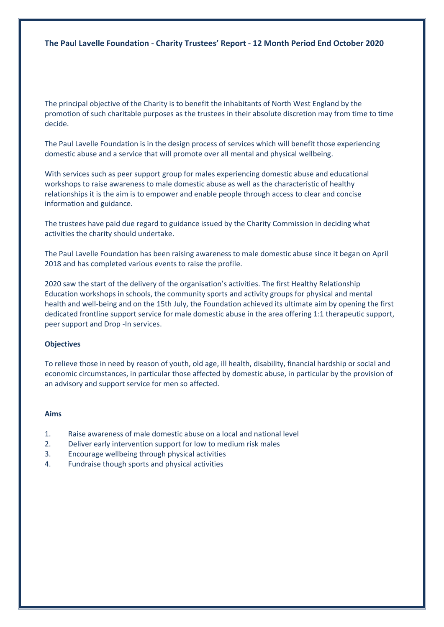The principal objective of the Charity is to benefit the inhabitants of North West England by the promotion of such charitable purposes as the trustees in their absolute discretion may from time to time decide.

The Paul Lavelle Foundation is in the design process of services which will benefit those experiencing domestic abuse and a service that will promote over all mental and physical wellbeing.

With services such as peer support group for males experiencing domestic abuse and educational workshops to raise awareness to male domestic abuse as well as the characteristic of healthy relationships it is the aim is to empower and enable people through access to clear and concise information and guidance.

The trustees have paid due regard to guidance issued by the Charity Commission in deciding what activities the charity should undertake.

The Paul Lavelle Foundation has been raising awareness to male domestic abuse since it began on April 2018 and has completed various events to raise the profile.

2020 saw the start of the delivery of the organisation's activities. The first Healthy Relationship Education workshops in schools, the community sports and activity groups for physical and mental health and well-being and on the 15th July, the Foundation achieved its ultimate aim by opening the first dedicated frontline support service for male domestic abuse in the area offering 1:1 therapeutic support, peer support and Drop -In services.

### **Objectives**

To relieve those in need by reason of youth, old age, ill health, disability, financial hardship or social and economic circumstances, in particular those affected by domestic abuse, in particular by the provision of an advisory and support service for men so affected.

#### **Aims**

- 1. Raise awareness of male domestic abuse on a local and national level
- 2. Deliver early intervention support for low to medium risk males
- 3. Encourage wellbeing through physical activities
- 4. Fundraise though sports and physical activities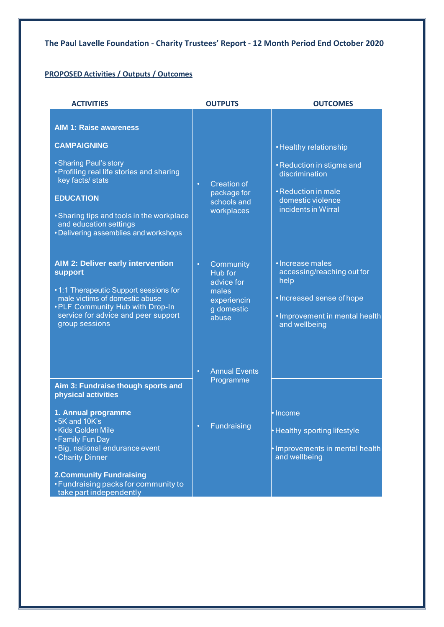### **PROPOSED Activities / Outputs / Outcomes**

| <b>ACTIVITIES</b>                                                                                                                                                                                                                                                                  | <b>OUTPUTS</b>                                                                                 | <b>OUTCOMES</b>                                                                                                                          |  |
|------------------------------------------------------------------------------------------------------------------------------------------------------------------------------------------------------------------------------------------------------------------------------------|------------------------------------------------------------------------------------------------|------------------------------------------------------------------------------------------------------------------------------------------|--|
| <b>AIM 1: Raise awareness</b><br><b>CAMPAIGNING</b><br>• Sharing Paul's story<br>• Profiling real life stories and sharing<br>key facts/ stats<br><b>EDUCATION</b><br>• Sharing tips and tools in the workplace<br>and education settings<br>• Delivering assemblies and workshops | <b>Creation of</b><br>$\bullet$<br>package for<br>schools and<br>workplaces                    | • Healthy relationship<br>• Reduction in stigma and<br>discrimination<br>· Reduction in male<br>domestic violence<br>incidents in Wirral |  |
| <b>AIM 2: Deliver early intervention</b><br>support<br>.1:1 Therapeutic Support sessions for<br>male victims of domestic abuse<br>• PLF Community Hub with Drop-In<br>service for advice and peer support<br>group sessions                                                        | Community<br>$\bullet$<br>Hub for<br>advice for<br>males<br>experiencin<br>g domestic<br>abuse | · Increase males<br>accessing/reaching out for<br>help<br>• Increased sense of hope<br>· Improvement in mental health<br>and wellbeing   |  |
| Aim 3: Fundraise though sports and<br>physical activities<br>1. Annual programme<br>• 5K and 10K's<br>• Kids Golden Mile<br>• Family Fun Day<br>• Big, national endurance event<br>• Charity Dinner<br><b>2. Community Fundraising</b>                                             | <b>Annual Events</b><br>$\bullet$<br>Programme<br>Fundraising                                  | • Income<br><b>Healthy sporting lifestyle</b><br>· Improvements in mental health<br>and wellbeing                                        |  |
| • Fundraising packs for community to<br>take part independently                                                                                                                                                                                                                    |                                                                                                |                                                                                                                                          |  |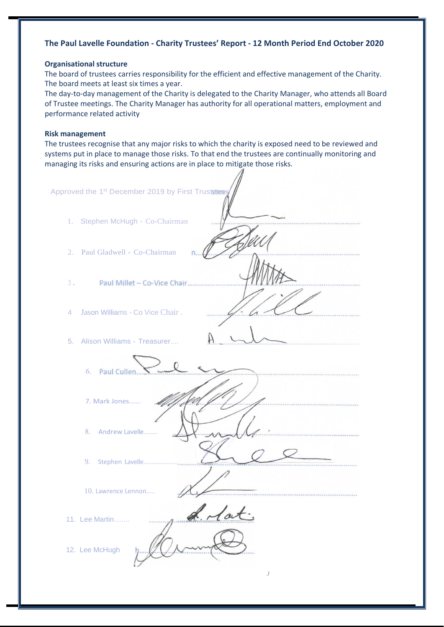### **Organisational structure**

The board of trustees carries responsibility for the efficient and effective management of the Charity. The board meets at least six times a year.

The day-to-day management of the Charity is delegated to the Charity Manager, who attends all Board of Trustee meetings. The Charity Manager has authority for all operational matters, employment and performance related activity

### **Risk management**

The trustees recognise that any major risks to which the charity is exposed need to be reviewed and systems put in place to manage those risks. To that end the trustees are continually monitoring and managing its risks and ensuring actions are in place to mitigate those risks.

| Stephen McHugh - Co-Chairman<br>1.                            |  |
|---------------------------------------------------------------|--|
|                                                               |  |
| 2. Paul Gladwell - Co-Chairman<br>n.                          |  |
| 3.<br>Paul Millet - Co-Vice Chair                             |  |
| Jason Williams - Co Vice Chair.<br>4                          |  |
| 5. Alison Williams - Treasurer                                |  |
| 6. Paul Cullen                                                |  |
| 7. Mark Jones                                                 |  |
| 8. Andrew Lavelle                                             |  |
| 9.<br>Stephen Lavelle                                         |  |
| 10. Lawrence Lennon                                           |  |
| $\overline{ }$<br>$\overline{a}$<br>11. Lee Martin<br>4.77777 |  |
| 12. Lee McHugh<br>$\boldsymbol{J}$                            |  |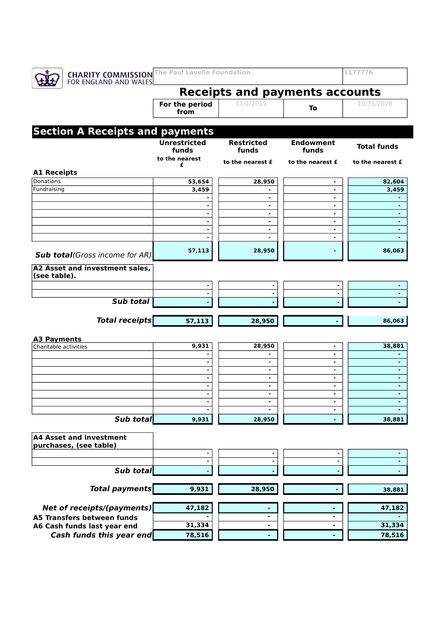|--|

### **Receipts and payments accounts** 10/31/2020

**For the period from**

# 11/1/2019 **To**

# **Section A Receipts and payments**

|                                                   | <b>Unrestricted</b><br>funds | <b>Restricted</b><br>funds | <b>Endowment</b><br>funds | <b>Total funds</b> |
|---------------------------------------------------|------------------------------|----------------------------|---------------------------|--------------------|
|                                                   | to the nearest               | to the nearest £           | to the nearest £          | to the nearest £   |
| <b>A1 Receipts</b>                                | £                            |                            |                           |                    |
| <b>Donations</b>                                  | 53,654                       | 28,950                     | ۰                         | 82,604             |
| Fundraising                                       | 3,459                        | ٠                          | ٠                         | 3,459              |
|                                                   |                              | ۰                          | ۰                         |                    |
|                                                   |                              | $\sim$                     | ٠                         | $\sim$             |
|                                                   |                              | $\blacksquare$             | $\blacksquare$            | ٠                  |
|                                                   |                              | $\blacksquare$             | ٠                         | ٠                  |
|                                                   |                              | ۰                          | ٠                         | ٠                  |
|                                                   |                              | $\blacksquare$             | $\blacksquare$            | $\blacksquare$     |
| <b>Sub total</b> (Gross income for AR)            | 57,113                       | 28,950                     |                           | 86,063             |
| A2 Asset and investment sales,<br>(see table).    |                              |                            |                           |                    |
|                                                   |                              |                            |                           |                    |
|                                                   |                              |                            |                           |                    |
| Sub total                                         |                              |                            |                           |                    |
|                                                   |                              |                            |                           |                    |
| <b>Total receipts</b>                             | 57,113                       | 28,950                     |                           | 86,063             |
|                                                   |                              |                            |                           |                    |
| <b>A3 Payments</b>                                |                              |                            |                           |                    |
| Charitable activities                             | 9,931                        | 28,950                     | ٠<br>$\blacksquare$       | 38,881             |
|                                                   |                              | $\blacksquare$             | ٠                         | $\blacksquare$     |
|                                                   |                              | ٠                          | ٠                         | $\blacksquare$     |
|                                                   |                              | $\blacksquare$             | $\blacksquare$            | ٠                  |
|                                                   |                              | $\blacksquare$             | $\blacksquare$            | $\blacksquare$     |
|                                                   |                              | $\sim$                     | $\blacksquare$            | ٠                  |
|                                                   |                              | ٠                          | ٠                         | ٠                  |
|                                                   |                              |                            | ۰                         |                    |
| Sub total                                         | 9,931                        | 28,950                     |                           | 38,881             |
| A4 Asset and investment<br>purchases, (see table) |                              |                            |                           |                    |
|                                                   |                              |                            |                           |                    |
|                                                   |                              |                            |                           |                    |
| Sub total                                         |                              |                            |                           |                    |
|                                                   |                              |                            |                           |                    |
| <b>Total payments</b>                             | 9,931                        | 28,950                     |                           | 38,881             |
| <b>Net of receipts/(payments)</b>                 | 47,182                       |                            |                           | 47,182             |
| A5 Transfers between funds                        |                              | ۰                          |                           |                    |
|                                                   | 31,334                       |                            |                           | 31,334             |
| A6 Cash funds last year end                       |                              |                            |                           |                    |
| Cash funds this year end                          | 78,516                       |                            | ۰                         | 78,516             |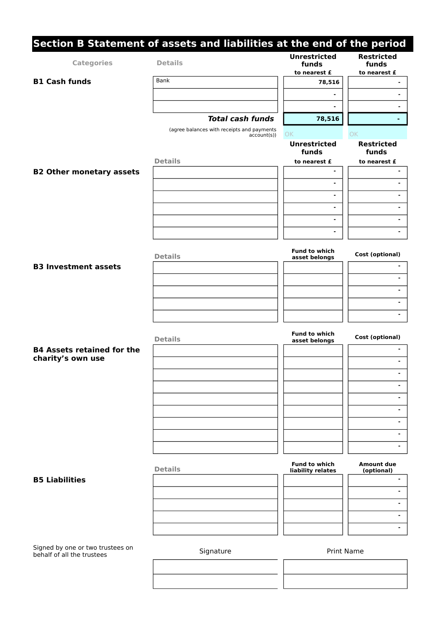|                                                                | Section B Statement of assets and liabilities at the end of the period | <b>Unrestricted</b>                       | <b>Restricted</b>               |
|----------------------------------------------------------------|------------------------------------------------------------------------|-------------------------------------------|---------------------------------|
| <b>Categories</b>                                              | <b>Details</b>                                                         | funds<br>to nearest £                     | funds<br>to nearest £           |
| <b>B1 Cash funds</b>                                           | Bank                                                                   | 78,516                                    |                                 |
|                                                                |                                                                        | $\blacksquare$                            | ä,                              |
|                                                                |                                                                        |                                           | $\blacksquare$                  |
|                                                                | <b>Total cash funds</b>                                                | 78,516                                    |                                 |
|                                                                | (agree balances with receipts and payments<br>$account(s)$ )           | OK                                        | OK                              |
|                                                                |                                                                        | <b>Unrestricted</b><br>funds              | <b>Restricted</b><br>funds      |
|                                                                | <b>Details</b>                                                         | to nearest £                              | to nearest £                    |
| <b>B2 Other monetary assets</b>                                |                                                                        | $\blacksquare$                            |                                 |
|                                                                |                                                                        | $\blacksquare$                            | ۰                               |
|                                                                |                                                                        | $\blacksquare$                            |                                 |
|                                                                |                                                                        | $\blacksquare$                            | ۰                               |
|                                                                |                                                                        | $\blacksquare$                            | $\blacksquare$                  |
|                                                                |                                                                        | $\blacksquare$                            | ۰                               |
|                                                                | <b>Details</b>                                                         | <b>Fund to which</b><br>asset belongs     | Cost (optional)                 |
| <b>B3 Investment assets</b>                                    |                                                                        |                                           |                                 |
|                                                                |                                                                        |                                           | ۰                               |
|                                                                |                                                                        |                                           | ۰                               |
|                                                                |                                                                        |                                           | ٠                               |
|                                                                |                                                                        |                                           | $\blacksquare$                  |
|                                                                |                                                                        |                                           |                                 |
|                                                                | <b>Details</b>                                                         | <b>Fund to which</b><br>asset belongs     | <b>Cost (optional)</b>          |
| <b>B4 Assets retained for the</b>                              |                                                                        |                                           |                                 |
| charity's own use                                              |                                                                        |                                           |                                 |
|                                                                |                                                                        |                                           |                                 |
|                                                                |                                                                        |                                           | ٠                               |
|                                                                |                                                                        |                                           | ۰                               |
|                                                                |                                                                        |                                           | ۰                               |
|                                                                |                                                                        |                                           | $\blacksquare$                  |
|                                                                |                                                                        |                                           | ٠                               |
|                                                                |                                                                        |                                           | ٠                               |
|                                                                | <b>Details</b>                                                         | <b>Fund to which</b><br>liability relates | <b>Amount due</b><br>(optional) |
| <b>B5 Liabilities</b>                                          |                                                                        |                                           | ۰                               |
|                                                                |                                                                        |                                           | $\blacksquare$                  |
|                                                                |                                                                        |                                           | ۰                               |
|                                                                |                                                                        |                                           | ٠                               |
|                                                                |                                                                        |                                           | ۰                               |
| Signed by one or two trustees on<br>behalf of all the trustees | Signature                                                              | <b>Print Name</b>                         |                                 |
|                                                                |                                                                        |                                           |                                 |
|                                                                |                                                                        |                                           |                                 |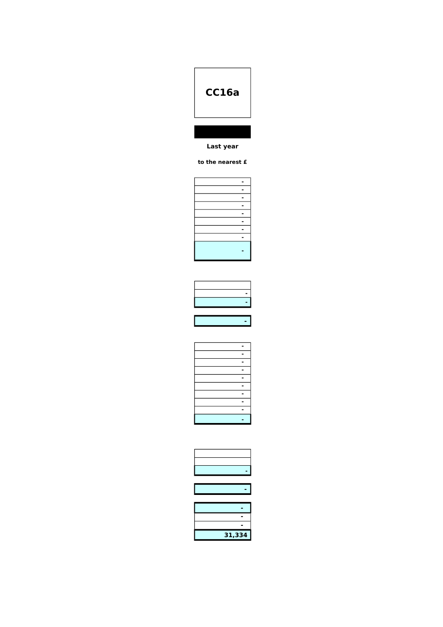# **CC16a**

### **Last year**

### **to the nearest £**

| - |
|---|
| - |
| - |
| - |
| ۰ |
| - |
| - |
| - |
|   |
|   |

| <u> The Common State Common State Common State Common State Common State Common State Common State Common State Common State Common State Common State Common State Common State Common State Common State Common State Common S</u> |  |
|--------------------------------------------------------------------------------------------------------------------------------------------------------------------------------------------------------------------------------------|--|
|                                                                                                                                                                                                                                      |  |
| the control of the control of the control of the control of the control of                                                                                                                                                           |  |
| the control of the control of the control                                                                                                                                                                                            |  |
|                                                                                                                                                                                                                                      |  |

| 31,334 |
|--------|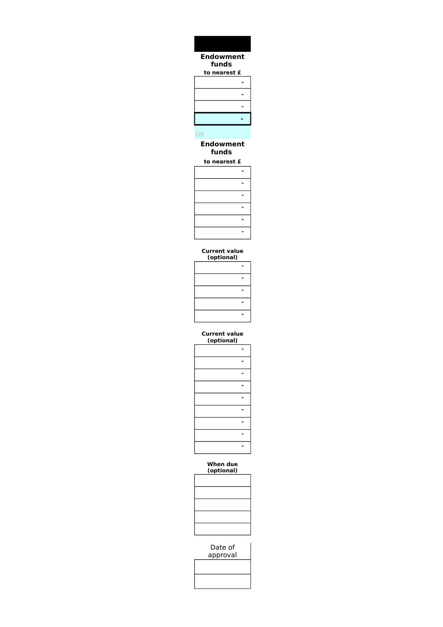### **to nearest £ - - - -**  OK **Endowment funds Endowment funds**

## **to nearest £**

#### **Current value (optional)**

|                                   | ۰                   |
|-----------------------------------|---------------------|
|                                   | $\blacksquare$<br>- |
|                                   | -                   |
| the control of the control of the | -<br>–              |
|                                   | -                   |

#### **Current value (optional)**

#### **When due (optional)**

| the control of the control of the control of |  |  |
|----------------------------------------------|--|--|
| and the control of the con-                  |  |  |
| and the control of the control of the        |  |  |
|                                              |  |  |
|                                              |  |  |
|                                              |  |  |

Date of approval